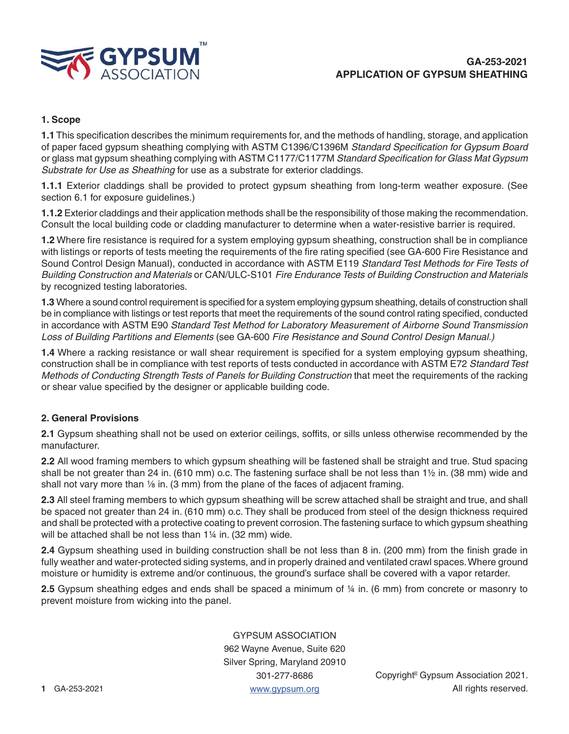

# **1. Scope**

**1.1** This specification describes the minimum requirements for, and the methods of handling, storage, and application of paper faced gypsum sheathing complying with ASTM C1396/C1396M *Standard Specification for Gypsum Board* or glass mat gypsum sheathing complying with ASTM C1177/C1177M *Standard Specification for Glass Mat Gypsum Substrate for Use as Sheathing* for use as a substrate for exterior claddings.

**1.1.1** Exterior claddings shall be provided to protect gypsum sheathing from long-term weather exposure. (See section 6.1 for exposure guidelines.)

**1.1.2** Exterior claddings and their application methods shall be the responsibility of those making the recommendation. Consult the local building code or cladding manufacturer to determine when a water-resistive barrier is required.

**1.2** Where fire resistance is required for a system employing gypsum sheathing, construction shall be in compliance with listings or reports of tests meeting the requirements of the fire rating specified (see GA-600 Fire Resistance and Sound Control Design Manual), conducted in accordance with ASTM E119 *Standard Test Methods for Fire Tests of Building Construction and Materials* or CAN/ULC-S101 *Fire Endurance Tests of Building Construction and Materials* by recognized testing laboratories.

**1.3** Where a sound control requirement is specified for a system employing gypsum sheathing, details of construction shall be in compliance with listings or test reports that meet the requirements of the sound control rating specified, conducted in accordance with ASTM E90 *Standard Test Method for Laboratory Measurement of Airborne Sound Transmission Loss of Building Partitions and Elements* (see GA-600 *Fire Resistance and Sound Control Design Manual.)*

**1.4** Where a racking resistance or wall shear requirement is specified for a system employing gypsum sheathing, construction shall be in compliance with test reports of tests conducted in accordance with ASTM E72 *Standard Test Methods of Conducting Strength Tests of Panels for Building Construction* that meet the requirements of the racking or shear value specified by the designer or applicable building code.

### **2. General Provisions**

**2.1** Gypsum sheathing shall not be used on exterior ceilings, soffits, or sills unless otherwise recommended by the manufacturer.

**2.2** All wood framing members to which gypsum sheathing will be fastened shall be straight and true. Stud spacing shall be not greater than 24 in. (610 mm) o.c. The fastening surface shall be not less than 1½ in. (38 mm) wide and shall not vary more than  $\frac{1}{8}$  in. (3 mm) from the plane of the faces of adjacent framing.

**2.3** All steel framing members to which gypsum sheathing will be screw attached shall be straight and true, and shall be spaced not greater than 24 in. (610 mm) o.c. They shall be produced from steel of the design thickness required and shall be protected with a protective coating to prevent corrosion. The fastening surface to which gypsum sheathing will be attached shall be not less than 1¼ in. (32 mm) wide.

**2.4** Gypsum sheathing used in building construction shall be not less than 8 in. (200 mm) from the finish grade in fully weather and water-protected siding systems, and in properly drained and ventilated crawl spaces. Where ground moisture or humidity is extreme and/or continuous, the ground's surface shall be covered with a vapor retarder.

**2.5** Gypsum sheathing edges and ends shall be spaced a minimum of ¼ in. (6 mm) from concrete or masonry to prevent moisture from wicking into the panel.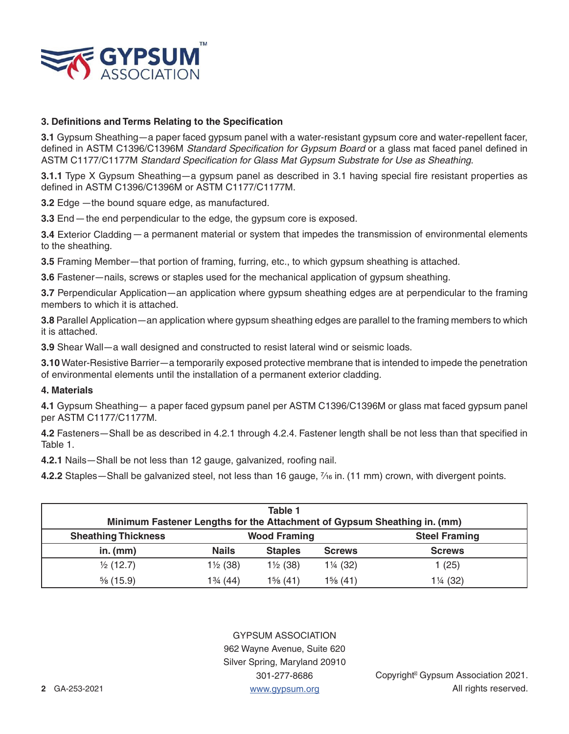

# **3. Definitions and Terms Relating to the Specification**

**3.1** Gypsum Sheathing—a paper faced gypsum panel with a water-resistant gypsum core and water-repellent facer, defined in ASTM C1396/C1396M *Standard Specification for Gypsum Board* or a glass mat faced panel defined in ASTM C1177/C1177M *Standard Specification for Glass Mat Gypsum Substrate for Use as Sheathing*.

**3.1.1** Type X Gypsum Sheathing—a gypsum panel as described in 3.1 having special fire resistant properties as defined in ASTM C1396/C1396M or ASTM C1177/C1177M.

**3.2** Edge —the bound square edge, as manufactured.

**3.3** End — the end perpendicular to the edge, the gypsum core is exposed.

**3.4** Exterior Cladding — a permanent material or system that impedes the transmission of environmental elements to the sheathing.

**3.5** Framing Member—that portion of framing, furring, etc., to which gypsum sheathing is attached.

**3.6** Fastener—nails, screws or staples used for the mechanical application of gypsum sheathing.

**3.7** Perpendicular Application—an application where gypsum sheathing edges are at perpendicular to the framing members to which it is attached.

**3.8** Parallel Application—an application where gypsum sheathing edges are parallel to the framing members to which it is attached.

**3.9** Shear Wall—a wall designed and constructed to resist lateral wind or seismic loads.

**3.10** Water-Resistive Barrier—a temporarily exposed protective membrane that is intended to impede the penetration of environmental elements until the installation of a permanent exterior cladding.

#### **4. Materials**

**4.1** Gypsum Sheathing— a paper faced gypsum panel per ASTM C1396/C1396M or glass mat faced gypsum panel per ASTM C1177/C1177M.

**4.2** Fasteners—Shall be as described in 4.2.1 through 4.2.4. Fastener length shall be not less than that specified in Table 1.

**4.2.1** Nails—Shall be not less than 12 gauge, galvanized, roofing nail.

**4.2.2** Staples—Shall be galvanized steel, not less than 16 gauge,  $\frac{7}{6}$  in. (11 mm) crown, with divergent points.

| Table 1<br>Minimum Fastener Lengths for the Attachment of Gypsum Sheathing in. (mm) |                     |                     |               |                      |  |
|-------------------------------------------------------------------------------------|---------------------|---------------------|---------------|----------------------|--|
| <b>Sheathing Thickness</b>                                                          | <b>Wood Framing</b> |                     |               | <b>Steel Framing</b> |  |
| in. $(mm)$                                                                          | <b>Nails</b>        | <b>Staples</b>      | <b>Screws</b> | <b>Screws</b>        |  |
| $\frac{1}{2}$ (12.7)                                                                | $1\frac{1}{2}$ (38) | $1\frac{1}{2}$ (38) | 1¼ (32)       | 1(25)                |  |
| $\frac{5}{6}$ (15.9)                                                                | $1\frac{3}{4}$ (44) | $1\%$ (41)          | $1\%$ (41)    | 1¼ (32)              |  |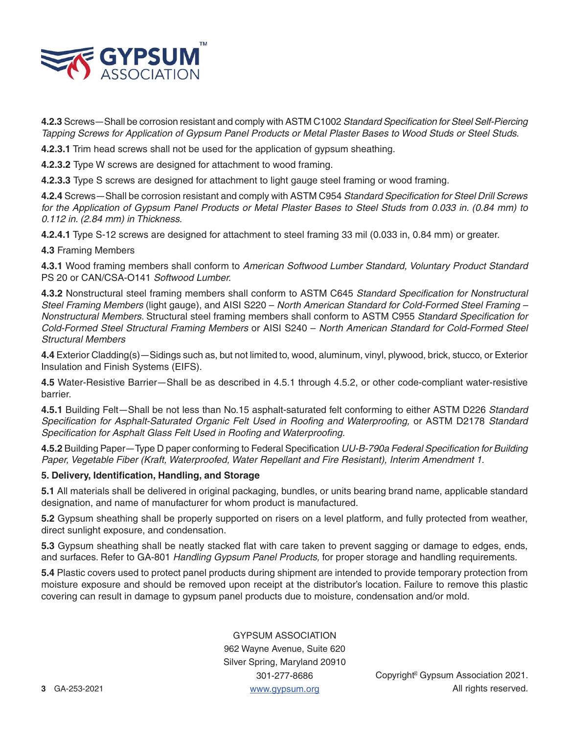

**4.2.3** Screws—Shall be corrosion resistant and comply with ASTM C1002 *Standard Specification for Steel Self-Piercing Tapping Screws for Application of Gypsum Panel Products or Metal Plaster Bases to Wood Studs or Steel Studs.*

**4.2.3.1** Trim head screws shall not be used for the application of gypsum sheathing.

**4.2.3.2** Type W screws are designed for attachment to wood framing.

**4.2.3.3** Type S screws are designed for attachment to light gauge steel framing or wood framing.

**4.2.4** Screws—Shall be corrosion resistant and comply with ASTM C954 *Standard Specification for Steel Drill Screws*  for the Application of Gypsum Panel Products or Metal Plaster Bases to Steel Studs from 0.033 in. (0.84 mm) to *0.112 in. (2.84 mm) in Thickness.*

**4.2.4.1** Type S-12 screws are designed for attachment to steel framing 33 mil (0.033 in, 0.84 mm) or greater.

**4.3** Framing Members

**4.3.1** Wood framing members shall conform to *American Softwood Lumber Standard, Voluntary Product Standard*  PS 20 or CAN/CSA-O141 *Softwood Lumber.*

**4.3.2** Nonstructural steel framing members shall conform to ASTM C645 *Standard Specification for Nonstructural Steel Framing Members* (light gauge), and AISI S220 – *North American Standard for Cold-Formed Steel Framing – Nonstructural Members*. Structural steel framing members shall conform to ASTM C955 *Standard Specification for Cold-Formed Steel Structural Framing Members* or AISI S240 – *North American Standard for Cold-Formed Steel Structural Members*

**4.4** Exterior Cladding(s)—Sidings such as, but not limited to, wood, aluminum, vinyl, plywood, brick, stucco, or Exterior Insulation and Finish Systems (EIFS).

**4.5** Water-Resistive Barrier—Shall be as described in 4.5.1 through 4.5.2, or other code-compliant water-resistive barrier.

**4.5.1** Building Felt—Shall be not less than No.15 asphalt-saturated felt conforming to either ASTM D226 *Standard Specification for Asphalt-Saturated Organic Felt Used in Roofing and Waterproofing,* or ASTM D2178 *Standard Specification for Asphalt Glass Felt Used in Roofing and Waterproofing.*

**4.5.2** Building Paper—Type D paper conforming to Federal Specification *UU-B-790a Federal Specification for Building Paper, Vegetable Fiber (Kraft, Waterproofed, Water Repellant and Fire Resistant), Interim Amendment 1*.

### **5. Delivery, Identification, Handling, and Storage**

**5.1** All materials shall be delivered in original packaging, bundles, or units bearing brand name, applicable standard designation, and name of manufacturer for whom product is manufactured.

**5.2** Gypsum sheathing shall be properly supported on risers on a level platform, and fully protected from weather, direct sunlight exposure, and condensation.

**5.3** Gypsum sheathing shall be neatly stacked flat with care taken to prevent sagging or damage to edges, ends, and surfaces. Refer to GA-801 *Handling Gypsum Panel Products,* for proper storage and handling requirements.

**5.4** Plastic covers used to protect panel products during shipment are intended to provide temporary protection from moisture exposure and should be removed upon receipt at the distributor's location. Failure to remove this plastic covering can result in damage to gypsum panel products due to moisture, condensation and/or mold.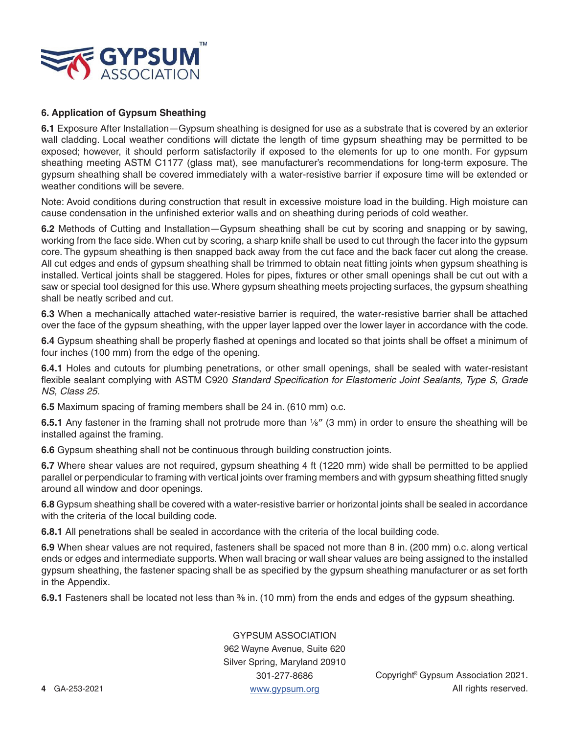

# **6. Application of Gypsum Sheathing**

**6.1** Exposure After Installation—Gypsum sheathing is designed for use as a substrate that is covered by an exterior wall cladding. Local weather conditions will dictate the length of time gypsum sheathing may be permitted to be exposed; however, it should perform satisfactorily if exposed to the elements for up to one month. For gypsum sheathing meeting ASTM C1177 (glass mat), see manufacturer's recommendations for long-term exposure. The gypsum sheathing shall be covered immediately with a water-resistive barrier if exposure time will be extended or weather conditions will be severe.

Note: Avoid conditions during construction that result in excessive moisture load in the building. High moisture can cause condensation in the unfinished exterior walls and on sheathing during periods of cold weather.

**6.2** Methods of Cutting and Installation—Gypsum sheathing shall be cut by scoring and snapping or by sawing, working from the face side. When cut by scoring, a sharp knife shall be used to cut through the facer into the gypsum core. The gypsum sheathing is then snapped back away from the cut face and the back facer cut along the crease. All cut edges and ends of gypsum sheathing shall be trimmed to obtain neat fitting joints when gypsum sheathing is installed. Vertical joints shall be staggered. Holes for pipes, fixtures or other small openings shall be cut out with a saw or special tool designed for this use. Where gypsum sheathing meets projecting surfaces, the gypsum sheathing shall be neatly scribed and cut.

**6.3** When a mechanically attached water-resistive barrier is required, the water-resistive barrier shall be attached over the face of the gypsum sheathing, with the upper layer lapped over the lower layer in accordance with the code.

**6.4** Gypsum sheathing shall be properly flashed at openings and located so that joints shall be offset a minimum of four inches (100 mm) from the edge of the opening.

**6.4.1** Holes and cutouts for plumbing penetrations, or other small openings, shall be sealed with water-resistant flexible sealant complying with ASTM C920 *Standard Specification for Elastomeric Joint Sealants, Type S, Grade NS, Class 25.*

**6.5** Maximum spacing of framing members shall be 24 in. (610 mm) o.c.

**6.5.1** Any fastener in the framing shall not protrude more than 1/8" (3 mm) in order to ensure the sheathing will be installed against the framing.

**6.6** Gypsum sheathing shall not be continuous through building construction joints.

**6.7** Where shear values are not required, gypsum sheathing 4 ft (1220 mm) wide shall be permitted to be applied parallel or perpendicular to framing with vertical joints over framing members and with gypsum sheathing fitted snugly around all window and door openings.

**6.8** Gypsum sheathing shall be covered with a water-resistive barrier or horizontal joints shall be sealed in accordance with the criteria of the local building code.

**6.8.1** All penetrations shall be sealed in accordance with the criteria of the local building code.

**6.9** When shear values are not required, fasteners shall be spaced not more than 8 in. (200 mm) o.c. along vertical ends or edges and intermediate supports. When wall bracing or wall shear values are being assigned to the installed gypsum sheathing, the fastener spacing shall be as specified by the gypsum sheathing manufacturer or as set forth in the Appendix.

**6.9.1** Fasteners shall be located not less than <sup>36</sup> in. (10 mm) from the ends and edges of the gypsum sheathing.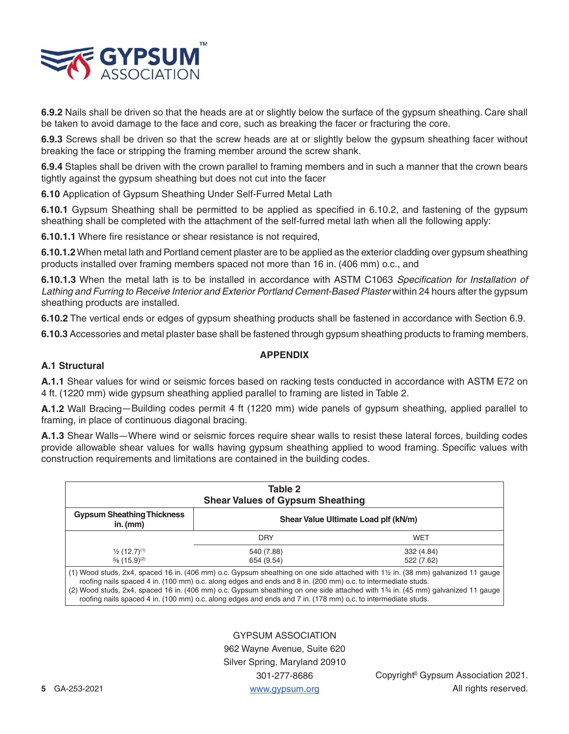

**6.9.2** Nails shall be driven so that the heads are at or slightly below the surface of the gypsum sheathing. Care shall be taken to avoid damage to the face and core, such as breaking the facer or fracturing the core.

**6.9.3** Screws shall be driven so that the screw heads are at or slightly below the gypsum sheathing facer without breaking the face or stripping the framing member around the screw shank.

**6.9.4** Staples shall be driven with the crown parallel to framing members and in such a manner that the crown bears tightly against the gypsum sheathing but does not cut into the facer

**6.10** Application of Gypsum Sheathing Under Self-Furred Metal Lath

**6.10.1** Gypsum Sheathing shall be permitted to be applied as specified in 6.10.2, and fastening of the gypsum sheathing shall be completed with the attachment of the self-furred metal lath when all the following apply:

**6.10.1.1** Where fire resistance or shear resistance is not required,

**6.10.1.2** When metal lath and Portland cement plaster are to be applied as the exterior cladding over gypsum sheathing products installed over framing members spaced not more than 16 in. (406 mm) o.c., and

**6.10.1.3** When the metal lath is to be installed in accordance with ASTM C1063 *Specification for Installation of Lathing and Furring to Receive Interior and Exterior Portland Cement-Based Plaster* within 24 hours after the gypsum sheathing products are installed.

**6.10.2** The vertical ends or edges of gypsum sheathing products shall be fastened in accordance with Section 6.9.

**6.10.3** Accessories and metal plaster base shall be fastened through gypsum sheathing products to framing members.

### **APPENDIX**

# **A.1 Structural**

**A.1.1** Shear values for wind or seismic forces based on racking tests conducted in accordance with ASTM E72 on 4 ft. (1220 mm) wide gypsum sheathing applied parallel to framing are listed in Table 2.

**A.1.2** Wall Bracing—Building codes permit 4 ft (1220 mm) wide panels of gypsum sheathing, applied parallel to framing, in place of continuous diagonal bracing.

**A.1.3** Shear Walls—Where wind or seismic forces require shear walls to resist these lateral forces, building codes provide allowable shear values for walls having gypsum sheathing applied to wood framing. Specific values with construction requirements and limitations are contained in the building codes.

| Table 2<br><b>Shear Values of Gypsum Sheathing</b> |                                                                                                                                                                                                                              |                                                                                                                                                                                                                                                                                             |  |  |
|----------------------------------------------------|------------------------------------------------------------------------------------------------------------------------------------------------------------------------------------------------------------------------------|---------------------------------------------------------------------------------------------------------------------------------------------------------------------------------------------------------------------------------------------------------------------------------------------|--|--|
| <b>Gypsum Sheathing Thickness</b><br>in. $(mm)$    | Shear Value Ultimate Load plf (kN/m)                                                                                                                                                                                         |                                                                                                                                                                                                                                                                                             |  |  |
|                                                    | <b>DRY</b>                                                                                                                                                                                                                   | WET                                                                                                                                                                                                                                                                                         |  |  |
| $\frac{1}{2}$ (12.7) <sup>(1)</sup>                | 540 (7.88)                                                                                                                                                                                                                   | 332 (4.84)                                                                                                                                                                                                                                                                                  |  |  |
| $\frac{5}{6}$ (15.9) <sup>(2)</sup>                | 654 (9.54)                                                                                                                                                                                                                   | 522 (7.62)                                                                                                                                                                                                                                                                                  |  |  |
|                                                    | roofing nails spaced 4 in. (100 mm) o.c. along edges and ends and 8 in. (200 mm) o.c. to intermediate studs.<br>roofing nails spaced 4 in. (100 mm) o.c. along edges and ends and 7 in. (178 mm) o.c. to intermediate studs. | $(1)$ Wood studs, 2x4, spaced 16 in. (406 mm) o.c. Gypsum sheathing on one side attached with $1\frac{1}{2}$ in. (38 mm) galvanized 11 gauge<br>(2) Wood studs, 2x4, spaced 16 in. (406 mm) o.c. Gypsum sheathing on one side attached with 1 <sup>34</sup> in. (45 mm) galvanized 11 gauge |  |  |